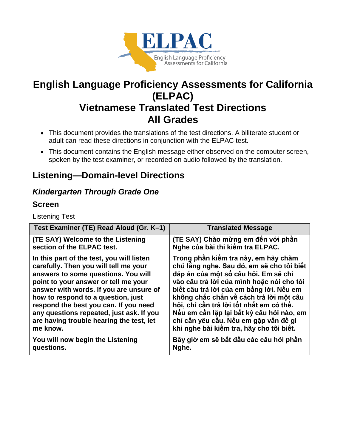

# **English Language Proficiency Assessments for California (ELPAC) Vietnamese Translated Test Directions All Grades**

- This document provides the translations of the test directions. A biliterate student or adult can read these directions in conjunction with the ELPAC test.
- This document contains the English message either observed on the computer screen, spoken by the test examiner, or recorded on audio followed by the translation.

# **Listening—Domain-level Directions**

## *Kindergarten Through Grade One*

### **Screen**

Listening Test

| Test Examiner (TE) Read Aloud (Gr. K-1)   | <b>Translated Message</b>                 |
|-------------------------------------------|-------------------------------------------|
| (TE SAY) Welcome to the Listening         | (TE SAY) Chào mừng em đến với phần        |
| section of the ELPAC test.                | Nghe của bài thi kiểm tra ELPAC.          |
| In this part of the test, you will listen | Trong phần kiếm tra này, em hãy chăm      |
| carefully. Then you will tell me your     | chú lắng nghe. Sau đó, em sẽ cho tôi biết |
| answers to some questions. You will       | đáp án của một số câu hỏi. Em sẽ chỉ      |
| point to your answer or tell me your      | vào câu trả lời của mình hoặc nói cho tôi |
| answer with words. If you are unsure of   | biết câu trả lời của em bằng lời. Nếu em  |
| how to respond to a question, just        | không chắc chắn về cách trả lời một câu   |
| respond the best you can. If you need     | hỏi, chỉ cần trả lời tốt nhất em có thể.  |
| any questions repeated, just ask. If you  | Nếu em cần lặp lại bất kỳ câu hỏi nào, em |
| are having trouble hearing the test, let  | chỉ cần yêu cầu. Nếu em gặp vấn đề gì     |
| me know.                                  | khi nghe bài kiểm tra, hãy cho tôi biết.  |
| You will now begin the Listening          | Bây giờ em sẽ bắt đầu các câu hỏi phần    |
| questions.                                | Nghe.                                     |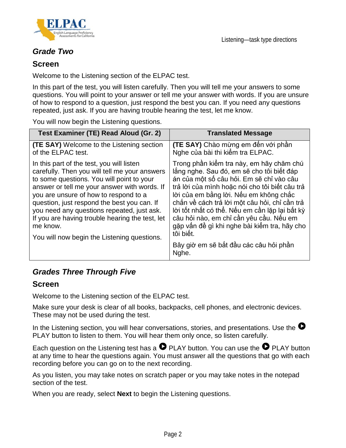

### *Grade Two*

### **Screen**

Welcome to the Listening section of the ELPAC test.

In this part of the test, you will listen carefully. Then you will tell me your answers to some questions. You will point to your answer or tell me your answer with words. If you are unsure of how to respond to a question, just respond the best you can. If you need any questions repeated, just ask. If you are having trouble hearing the test, let me know.

You will now begin the Listening questions.

| Test Examiner (TE) Read Aloud (Gr. 2)                                                                                                                                                                                                                                                                                                                                                                                                       | <b>Translated Message</b>                                                                                                                                                                                                                                                                                                                                                                                                                                                                   |
|---------------------------------------------------------------------------------------------------------------------------------------------------------------------------------------------------------------------------------------------------------------------------------------------------------------------------------------------------------------------------------------------------------------------------------------------|---------------------------------------------------------------------------------------------------------------------------------------------------------------------------------------------------------------------------------------------------------------------------------------------------------------------------------------------------------------------------------------------------------------------------------------------------------------------------------------------|
| <b>(TE SAY)</b> Welcome to the Listening section<br>of the ELPAC test.                                                                                                                                                                                                                                                                                                                                                                      | <b>(TE SAY)</b> Chào mừng em đến với phần<br>Nghe của bài thi kiểm tra ELPAC.                                                                                                                                                                                                                                                                                                                                                                                                               |
| In this part of the test, you will listen<br>carefully. Then you will tell me your answers<br>to some questions. You will point to your<br>answer or tell me your answer with words. If<br>you are unsure of how to respond to a<br>question, just respond the best you can. If<br>you need any questions repeated, just ask.<br>If you are having trouble hearing the test, let<br>me know.<br>You will now begin the Listening questions. | Trong phần kiếm tra này, em hãy chăm chú<br>lắng nghe. Sau đó, em sẽ cho tôi biết đáp<br>án của một số câu hỏi. Em sẽ chỉ vào câu<br>trả lời của mình hoặc nói cho tôi biết câu trả<br>lời của em bằng lời. Nếu em không chắc<br>chắn về cách trả lời một câu hỏi, chỉ cần trả<br>lời tốt nhất có thể. Nếu em cần lặp lại bất kỳ<br>câu hỏi nào, em chỉ cần yêu cầu. Nếu em<br>gặp vấn đề gì khi nghe bài kiểm tra, hãy cho<br>tôi biết.<br>Bây giờ em sẽ bắt đầu các câu hỏi phần<br>Nghe. |

## *Grades Three Through Five*

### **Screen**

Welcome to the Listening section of the ELPAC test.

Make sure your desk is clear of all books, backpacks, cell phones, and electronic devices. These may not be used during the test.

In the Listening section, you will hear conversations, stories, and presentations. Use the  $\bullet$ PLAY button to listen to them. You will hear them only once, so listen carefully.

Each question on the Listening test has a  $\bullet$  PLAY button. You can use the  $\bullet$  PLAY button at any time to hear the questions again. You must answer all the questions that go with each recording before you can go on to the next recording.

As you listen, you may take notes on scratch paper or you may take notes in the notepad section of the test.

When you are ready, select **Next** to begin the Listening questions.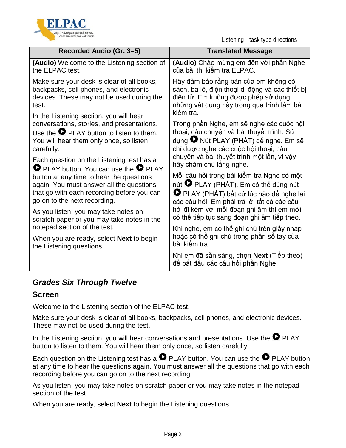

Listening—task type directions

| Recorded Audio (Gr. 3-5)                              | <b>Translated Message</b>                                                      |
|-------------------------------------------------------|--------------------------------------------------------------------------------|
| (Audio) Welcome to the Listening section of           | (Audio) Chào mừng em đến với phần Nghe                                         |
| the ELPAC test.                                       | của bài thi kiểm tra ELPAC.                                                    |
| Make sure your desk is clear of all books,            | Hãy đảm bảo rằng bàn của em không có                                           |
| backpacks, cell phones, and electronic                | sách, ba lô, điện thoại di động và các thiết bị                                |
| devices. These may not be used during the             | điện tử. Em không được phép sử dụng                                            |
| test.                                                 | những vật dụng này trong quá trình làm bài                                     |
| In the Listening section, you will hear               | kiểm tra.                                                                      |
| conversations, stories, and presentations.            | Trong phần Nghe, em sẽ nghe các cuộc hội                                       |
| Use the $\bullet$ PLAY button to listen to them.      | thoại, câu chuyện và bài thuyết trình. Sử                                      |
| You will hear them only once, so listen               | dụng ● Nút PLAY (PHÁT) để nghe. Em sẽ                                          |
| carefully.                                            | chỉ được nghe các cuộc hội thoại, câu                                          |
| Each question on the Listening test has a             | chuyện và bài thuyết trình một lần, vì vậy                                     |
| $\bullet$ PLAY button. You can use the $\bullet$ PLAY | hãy chăm chú lắng nghe.                                                        |
| button at any time to hear the questions              | Mỗi câu hỏi trong bài kiếm tra Nghe có một                                     |
| again. You must answer all the questions              | nút <sup>D</sup> PLAY (PHÁT). Em có thể dùng nút                               |
| that go with each recording before you can            | PLAY (PHÁT) bất cứ lúc nào để nghe lại                                         |
| go on to the next recording.                          | các câu hỏi. Em phải trả lời tất cả các câu                                    |
| As you listen, you may take notes on                  | hỏi đi kèm với mỗi đoạn ghi âm thì em mới                                      |
| scratch paper or you may take notes in the            | có thể tiếp tục sang đoạn ghi âm tiếp theo.                                    |
| notepad section of the test.                          | Khi nghe, em có thế ghi chú trên giấy nháp                                     |
| When you are ready, select <b>Next</b> to begin       | hoặc có thể ghi chú trong phần sổ tay của                                      |
| the Listening questions.                              | bài kiểm tra.                                                                  |
|                                                       | Khi em đã sẵn sàng, chọn Next (Tiếp theo)<br>để bắt đầu các câu hỏi phần Nghe. |

## *Grades Six Through Twelve*

### **Screen**

Welcome to the Listening section of the ELPAC test.

Make sure your desk is clear of all books, backpacks, cell phones, and electronic devices. These may not be used during the test.

In the Listening section, you will hear conversations and presentations. Use the  $\bullet$  PLAY button to listen to them. You will hear them only once, so listen carefully.

Each question on the Listening test has a  $\bullet$  PLAY button. You can use the  $\bullet$  PLAY button at any time to hear the questions again. You must answer all the questions that go with each recording before you can go on to the next recording.

As you listen, you may take notes on scratch paper or you may take notes in the notepad section of the test.

When you are ready, select **Next** to begin the Listening questions.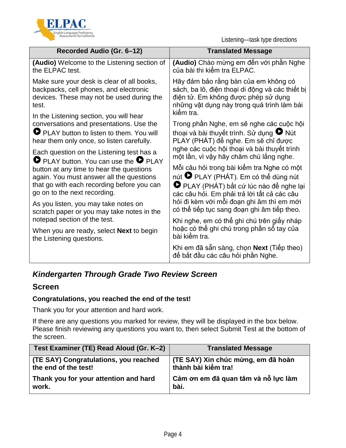

Listening—task type directions

| Recorded Audio (Gr. 6–12)                                                                                                                                                                                                                                              | <b>Translated Message</b>                                                                                                                                                                 |
|------------------------------------------------------------------------------------------------------------------------------------------------------------------------------------------------------------------------------------------------------------------------|-------------------------------------------------------------------------------------------------------------------------------------------------------------------------------------------|
| <b>(Audio)</b> Welcome to the Listening section of<br>the ELPAC test.                                                                                                                                                                                                  | (Audio) Chào mừng em đến với phần Nghe<br>của bài thi kiểm tra ELPAC.                                                                                                                     |
| Make sure your desk is clear of all books,<br>backpacks, cell phones, and electronic<br>devices. These may not be used during the<br>test.                                                                                                                             | Hãy đảm bảo rằng bàn của em không có<br>sách, ba lô, điện thoại di động và các thiết bị<br>điện tử. Em không được phép sử dụng<br>những vật dụng này trong quá trình làm bài<br>kiểm tra. |
| In the Listening section, you will hear<br>conversations and presentations. Use the<br>PLAY button to listen to them. You will<br>hear them only once, so listen carefully.                                                                                            | Trong phần Nghe, em sẽ nghe các cuộc hội<br>thoại và bài thuyết trình. Sử dụng <sup>O</sup> Nút<br>PLAY (PHÁT) để nghe. Em sẽ chỉ được                                                    |
| Each question on the Listening test has a<br><b>O</b> PLAY button. You can use the <b>O</b> PLAY<br>button at any time to hear the questions<br>again. You must answer all the questions<br>that go with each recording before you can<br>go on to the next recording. | nghe các cuộc hội thoại và bài thuyết trình<br>một lần, vì vậy hãy chăm chú lắng nghe.                                                                                                    |
|                                                                                                                                                                                                                                                                        | Mỗi câu hỏi trong bài kiểm tra Nghe có một<br>nút <sup>D</sup> PLAY (PHÁT). Em có thể dùng nút<br>PLAY (PHÁT) bất cứ lúc nào để nghe lại<br>các câu hỏi. Em phải trả lời tất cả các câu   |
| As you listen, you may take notes on<br>scratch paper or you may take notes in the                                                                                                                                                                                     | hỏi đi kèm với mỗi đoạn ghi âm thì em mới<br>có thể tiếp tục sang đoạn ghi âm tiếp theo.                                                                                                  |
| notepad section of the test.                                                                                                                                                                                                                                           | Khi nghe, em có thể ghi chú trên giấy nháp                                                                                                                                                |
| When you are ready, select <b>Next</b> to begin<br>the Listening questions.                                                                                                                                                                                            | hoặc có thể ghi chú trong phần sổ tay của<br>bài kiếm tra.                                                                                                                                |
|                                                                                                                                                                                                                                                                        | Khi em đã sẵn sàng, chọn Next (Tiếp theo)<br>để bắt đầu các câu hỏi phần Nghe.                                                                                                            |

## *Kindergarten Through Grade Two Review Screen*

### **Screen**

### **Congratulations, you reached the end of the test!**

Thank you for your attention and hard work.

If there are any questions you marked for review, they will be displayed in the box below. Please finish reviewing any questions you want to, then select Submit Test at the bottom of the screen.

| Test Examiner (TE) Read Aloud (Gr. K-2) | <b>Translated Message</b>            |
|-----------------------------------------|--------------------------------------|
| (TE SAY) Congratulations, you reached   | ∣ (TE SAY) Xin chúc mừng, em đã hoàn |
| the end of the test!                    | thành bài kiểm tra!                  |
| Thank you for your attention and hard   | Cảm ơn em đã quan tâm và nỗ lực làm  |
| work.                                   | bài.                                 |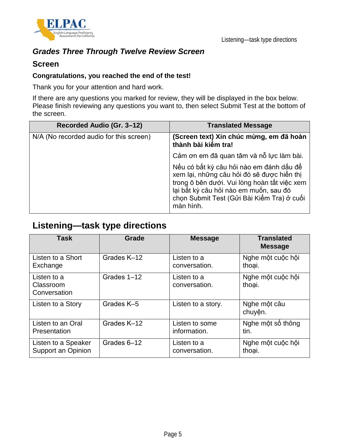

## *Grades Three Through Twelve Review Screen*

### **Screen**

### **Congratulations, you reached the end of the test!**

Thank you for your attention and hard work.

If there are any questions you marked for review, they will be displayed in the box below. Please finish reviewing any questions you want to, then select Submit Test at the bottom of the screen.

| Recorded Audio (Gr. 3-12)               | <b>Translated Message</b>                                                                                                                                                                                                                   |
|-----------------------------------------|---------------------------------------------------------------------------------------------------------------------------------------------------------------------------------------------------------------------------------------------|
| N/A (No recorded audio for this screen) | (Screen text) Xin chúc mừng, em đã hoàn<br>thành bài kiếm tra!                                                                                                                                                                              |
|                                         | Cảm ơn em đã quan tâm và nỗ lực làm bài.                                                                                                                                                                                                    |
|                                         | Nếu có bất kỳ câu hỏi nào em đánh dấu để<br>xem lại, những câu hỏi đó sẽ được hiển thị<br>trong ô bên dưới. Vui lòng hoàn tất việc xem<br>lại bất kỳ câu hỏi nào em muốn, sau đó<br>chọn Submit Test (Gửi Bài Kiểm Tra) ở cuối<br>màn hình. |

## **Listening—task type directions**

| <b>Task</b>                              | Grade       | <b>Message</b>               | <b>Translated</b><br><b>Message</b> |
|------------------------------------------|-------------|------------------------------|-------------------------------------|
| Listen to a Short                        | Grades K-12 | Listen to a                  | Nghe một cuộc hội                   |
| Exchange                                 |             | conversation.                | thoai.                              |
| Listen to a<br>Classroom<br>Conversation | Grades 1-12 | Listen to a<br>conversation. | Nghe một cuộc hội<br>thoai.         |
| Listen to a Story                        | Grades K-5  | Listen to a story.           | Nghe một câu<br>chuyện.             |
| Listen to an Oral                        | Grades K-12 | Listen to some               | Nghe một số thông                   |
| Presentation                             |             | information.                 | tin.                                |
| Listen to a Speaker                      | Grades 6-12 | Listen to a                  | Nghe một cuộc hội                   |
| Support an Opinion                       |             | conversation.                | thoai.                              |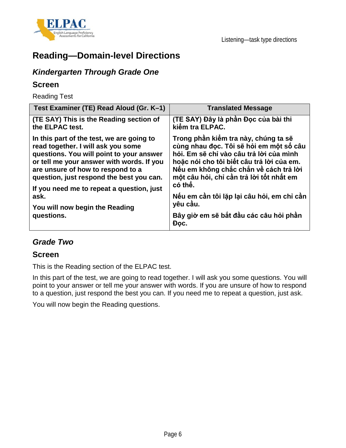



## **Reading—Domain-level Directions**

## *Kindergarten Through Grade One*

### **Screen**

Reading Test

| Test Examiner (TE) Read Aloud (Gr. K-1)                                                                                                                                                                                                                                                                                                                        | <b>Translated Message</b>                                                                                                                                                                                                                                                                                                                                                            |
|----------------------------------------------------------------------------------------------------------------------------------------------------------------------------------------------------------------------------------------------------------------------------------------------------------------------------------------------------------------|--------------------------------------------------------------------------------------------------------------------------------------------------------------------------------------------------------------------------------------------------------------------------------------------------------------------------------------------------------------------------------------|
| (TE SAY) This is the Reading section of<br>the ELPAC test.                                                                                                                                                                                                                                                                                                     | (TE SAY) Đây là phần Đọc của bài thi<br>kiểm tra ELPAC.                                                                                                                                                                                                                                                                                                                              |
| In this part of the test, we are going to<br>read together. I will ask you some<br>questions. You will point to your answer<br>or tell me your answer with words. If you<br>are unsure of how to respond to a<br>question, just respond the best you can.<br>If you need me to repeat a question, just<br>ask.<br>You will now begin the Reading<br>questions. | Trong phần kiếm tra này, chúng ta sẽ<br>cùng nhau đọc. Tôi sẽ hỏi em một số câu<br>hỏi. Em sẽ chỉ vào câu trả lời của mình<br>hoặc nói cho tôi biết câu trả lời của em.<br>Nếu em không chắc chắn về cách trả lời<br>một câu hỏi, chỉ cần trả lời tốt nhất em<br>có thể.<br>Nếu em cần tôi lặp lại câu hỏi, em chỉ cần<br>yêu cầu.<br>Bây giờ em sẽ bắt đầu các câu hỏi phần<br>Doc. |

## *Grade Two*

### **Screen**

This is the Reading section of the ELPAC test.

In this part of the test, we are going to read together. I will ask you some questions. You will point to your answer or tell me your answer with words. If you are unsure of how to respond to a question, just respond the best you can. If you need me to repeat a question, just ask.

You will now begin the Reading questions.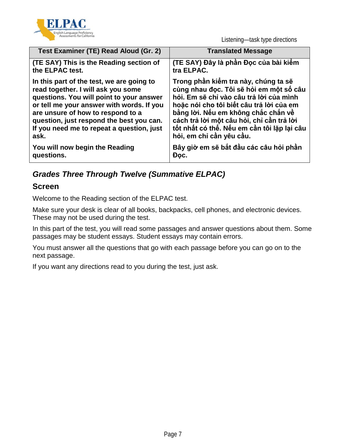

Listening—task type directions

| Test Examiner (TE) Read Aloud (Gr. 2)     | <b>Translated Message</b>                   |
|-------------------------------------------|---------------------------------------------|
| (TE SAY) This is the Reading section of   | (TE SAY) Đây là phần Đọc của bài kiếm       |
| the ELPAC test.                           | tra ELPAC.                                  |
| In this part of the test, we are going to | Trong phần kiếm tra này, chúng ta sẽ        |
| read together. I will ask you some        | cùng nhau đọc. Tôi sẽ hỏi em một số câu     |
| questions. You will point to your answer  | hỏi. Em sẽ chỉ vào câu trả lời của mình     |
| or tell me your answer with words. If you | hoặc nói cho tôi biết câu trả lời của em    |
| are unsure of how to respond to a         | bằng lời. Nếu em không chắc chắn về         |
| question, just respond the best you can.  | cách trả lời một câu hỏi, chỉ cần trả lời   |
| If you need me to repeat a question, just | tốt nhất có thể. Nếu em cần tôi lặp lại câu |
| ask.                                      | hỏi, em chỉ cần yêu cầu.                    |
| You will now begin the Reading            | Bây giờ em sẽ bắt đầu các câu hỏi phần      |
| questions.                                | Doc.                                        |

## *Grades Three Through Twelve (Summative ELPAC)*

### **Screen**

Welcome to the Reading section of the ELPAC test.

Make sure your desk is clear of all books, backpacks, cell phones, and electronic devices. These may not be used during the test.

In this part of the test, you will read some passages and answer questions about them. Some passages may be student essays. Student essays may contain errors.

You must answer all the questions that go with each passage before you can go on to the next passage.

If you want any directions read to you during the test, just ask.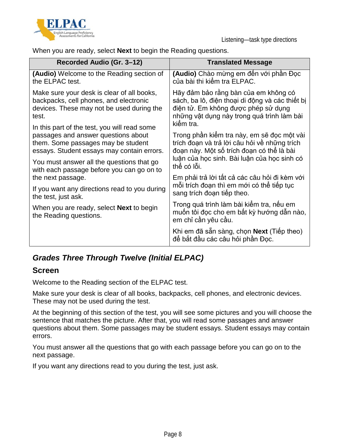



When you are ready, select **Next** to begin the Reading questions.

| Recorded Audio (Gr. 3-12)                                                                                                                                               | <b>Translated Message</b>                                                                                                                                                                 |
|-------------------------------------------------------------------------------------------------------------------------------------------------------------------------|-------------------------------------------------------------------------------------------------------------------------------------------------------------------------------------------|
| (Audio) Welcome to the Reading section of<br>the ELPAC test.                                                                                                            | (Audio) Chào mừng em đến với phần Đọc<br>của bài thi kiểm tra ELPAC.                                                                                                                      |
| Make sure your desk is clear of all books,<br>backpacks, cell phones, and electronic<br>devices. These may not be used during the<br>test.                              | Hãy đảm bảo rằng bàn của em không có<br>sách, ba lô, điện thoại di động và các thiết bị<br>điện tử. Em không được phép sử dụng<br>những vật dụng này trong quá trình làm bài<br>kiếm tra. |
| In this part of the test, you will read some<br>passages and answer questions about<br>them. Some passages may be student<br>essays. Student essays may contain errors. | Trong phần kiếm tra này, em sẽ đọc một vài<br>trích đoạn và trả lời câu hỏi về những trích<br>đoạn này. Một số trích đoạn có thể là bài                                                   |
| You must answer all the questions that go<br>with each passage before you can go on to                                                                                  | luận của học sinh. Bài luận của học sinh có<br>thể có lỗi.                                                                                                                                |
| the next passage.                                                                                                                                                       | Em phải trả lời tất cả các câu hỏi đi kèm với                                                                                                                                             |
| If you want any directions read to you during<br>the test, just ask.                                                                                                    | mỗi trích đoạn thì em mới có thể tiếp tục<br>sang trích đoạn tiếp theo.                                                                                                                   |
| When you are ready, select <b>Next</b> to begin<br>the Reading questions.                                                                                               | Trong quá trình làm bài kiếm tra, nếu em<br>muốn tôi đọc cho em bất kỳ hướng dẫn nào,<br>em chỉ cần yêu câu.                                                                              |
|                                                                                                                                                                         | Khi em đã sẵn sàng, chọn Next (Tiếp theo)<br>để bắt đầu các câu hỏi phần Đọc.                                                                                                             |

## *Grades Three Through Twelve (Initial ELPAC)*

### **Screen**

Welcome to the Reading section of the ELPAC test.

Make sure your desk is clear of all books, backpacks, cell phones, and electronic devices. These may not be used during the test.

At the beginning of this section of the test, you will see some pictures and you will choose the sentence that matches the picture. After that, you will read some passages and answer questions about them. Some passages may be student essays. Student essays may contain errors.

You must answer all the questions that go with each passage before you can go on to the next passage.

If you want any directions read to you during the test, just ask.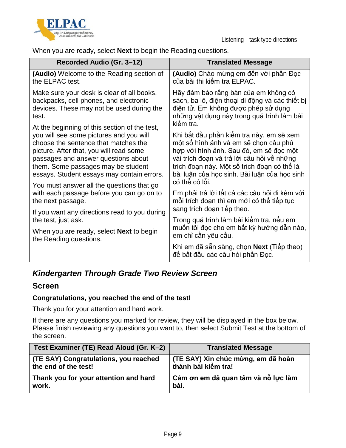



When you are ready, select **Next** to begin the Reading questions.

| Recorded Audio (Gr. 3-12)                                                                                                                                                                                                                                                                                                                           | <b>Translated Message</b>                                                                                                                                                                                                                                                                   |
|-----------------------------------------------------------------------------------------------------------------------------------------------------------------------------------------------------------------------------------------------------------------------------------------------------------------------------------------------------|---------------------------------------------------------------------------------------------------------------------------------------------------------------------------------------------------------------------------------------------------------------------------------------------|
| (Audio) Welcome to the Reading section of<br>the ELPAC test.                                                                                                                                                                                                                                                                                        | (Audio) Chào mừng em đến với phần Đọc<br>của bài thi kiểm tra ELPAC.                                                                                                                                                                                                                        |
| Make sure your desk is clear of all books,<br>backpacks, cell phones, and electronic<br>devices. These may not be used during the<br>test.                                                                                                                                                                                                          | Hãy đảm bảo rằng bàn của em không có<br>sách, ba lô, điện thoại di động và các thiết bị<br>điện tử. Em không được phép sử dụng<br>những vật dụng này trong quá trình làm bài<br>kiểm tra.                                                                                                   |
| At the beginning of this section of the test,<br>you will see some pictures and you will<br>choose the sentence that matches the<br>picture. After that, you will read some<br>passages and answer questions about<br>them. Some passages may be student<br>essays. Student essays may contain errors.<br>You must answer all the questions that go | Khi bắt đầu phần kiếm tra này, em sẽ xem<br>một số hình ảnh và em sẽ chọn câu phù<br>hợp với hình ảnh. Sau đó, em sẽ đọc một<br>vài trích đoạn và trả lời câu hỏi về những<br>trích đoạn này. Một số trích đoạn có thể là<br>bài luận của học sinh. Bài luận của học sinh<br>có thể có lỗi. |
| with each passage before you can go on to<br>the next passage.                                                                                                                                                                                                                                                                                      | Em phải trả lời tất cả các câu hỏi đi kèm với<br>mỗi trích đoạn thì em mới có thể tiếp tục<br>sang trích đoạn tiếp theo.                                                                                                                                                                    |
| If you want any directions read to you during<br>the test, just ask.                                                                                                                                                                                                                                                                                | Trong quá trình làm bài kiếm tra, nếu em                                                                                                                                                                                                                                                    |
| When you are ready, select <b>Next</b> to begin<br>the Reading questions.                                                                                                                                                                                                                                                                           | muốn tôi đọc cho em bất kỳ hướng dẫn nào,<br>em chỉ cần yêu cầu.                                                                                                                                                                                                                            |
|                                                                                                                                                                                                                                                                                                                                                     | Khi em đã sẵn sàng, chọn Next (Tiếp theo)<br>để bắt đầu các câu hỏi phần Đọc.                                                                                                                                                                                                               |

## *Kindergarten Through Grade Two Review Screen*

### **Screen**

### **Congratulations, you reached the end of the test!**

Thank you for your attention and hard work.

If there are any questions you marked for review, they will be displayed in the box below. Please finish reviewing any questions you want to, then select Submit Test at the bottom of the screen.

| Test Examiner (TE) Read Aloud (Gr. K-2) | <b>Translated Message</b>           |
|-----------------------------------------|-------------------------------------|
| (TE SAY) Congratulations, you reached   | (TE SAY) Xin chúc mừng, em đã hoàn  |
| the end of the test!                    | thành bài kiểm tra!                 |
| Thank you for your attention and hard   | Cảm ơn em đã quan tâm và nỗ lực làm |
| work.                                   | bài.                                |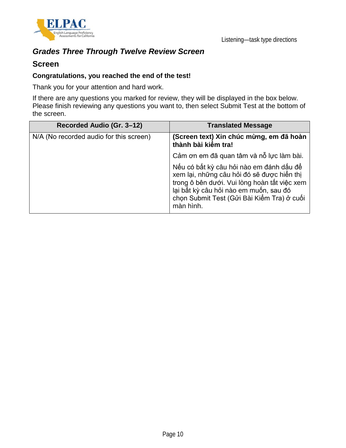

## *Grades Three Through Twelve Review Screen*

### **Screen**

#### **Congratulations, you reached the end of the test!**

Thank you for your attention and hard work.

If there are any questions you marked for review, they will be displayed in the box below. Please finish reviewing any questions you want to, then select Submit Test at the bottom of the screen.

| Recorded Audio (Gr. 3-12)               | <b>Translated Message</b>                                                                                                                                                                                                                   |
|-----------------------------------------|---------------------------------------------------------------------------------------------------------------------------------------------------------------------------------------------------------------------------------------------|
| N/A (No recorded audio for this screen) | (Screen text) Xin chúc mừng, em đã hoàn<br>thành bài kiếm tra!                                                                                                                                                                              |
|                                         | Cảm ơn em đã quan tâm và nỗ lực làm bài.                                                                                                                                                                                                    |
|                                         | Nếu có bất kỳ câu hỏi nào em đánh dấu để<br>xem lại, những câu hỏi đó sẽ được hiển thị<br>trong ô bên dưới. Vui lòng hoàn tất việc xem<br>lại bất kỳ câu hỏi nào em muốn, sau đó<br>chọn Submit Test (Gửi Bài Kiểm Tra) ở cuối<br>màn hình. |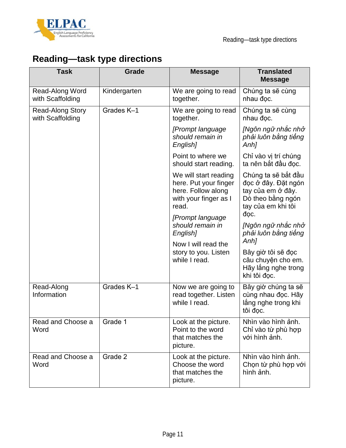



# **Reading—task type directions**

| <b>Task</b>                                 | Grade        | <b>Message</b>                                                                                         | <b>Translated</b><br><b>Message</b>                                                                                |
|---------------------------------------------|--------------|--------------------------------------------------------------------------------------------------------|--------------------------------------------------------------------------------------------------------------------|
| Read-Along Word<br>with Scaffolding         | Kindergarten | We are going to read<br>together.                                                                      | Chúng ta sẽ cùng<br>nhau đoc.                                                                                      |
| <b>Read-Along Story</b><br>with Scaffolding | Grades K-1   | We are going to read<br>together.                                                                      | Chúng ta sẽ cùng<br>nhau đoc.                                                                                      |
|                                             |              | [Prompt language]<br>should remain in<br>English]                                                      | [Ngôn ngữ nhắc nhở<br>phải luôn bằng tiếng<br>Anh]                                                                 |
|                                             |              | Point to where we<br>should start reading.                                                             | Chỉ vào vị trí chúng<br>ta nên bắt đầu đọc.                                                                        |
|                                             |              | We will start reading<br>here. Put your finger<br>here. Follow along<br>with your finger as I<br>read. | Chúng ta sẽ bắt đầu<br>đọc ở đây. Đặt ngón<br>tay của em ở đây.<br>Dò theo bằng ngón<br>tay của em khi tôi<br>đoc. |
|                                             |              | [Prompt language]<br>should remain in<br>English]                                                      | [Ngôn ngữ nhắc nhở<br>phải luôn bằng tiếng<br>Anh]                                                                 |
|                                             |              | Now I will read the<br>story to you. Listen<br>while I read.                                           | Bây giờ tôi sẽ đọc<br>câu chuyện cho em.<br>Hãy lắng nghe trong<br>khi tôi đọc.                                    |
| Read-Along<br>Information                   | Grades K-1   | Now we are going to<br>read together. Listen<br>while I read.                                          | Bây giờ chúng ta sẽ<br>cùng nhau đọc. Hãy<br>lắng nghe trong khi<br>tôi đọc.                                       |
| Read and Choose a<br>Word                   | Grade 1      | Look at the picture.<br>Point to the word<br>that matches the<br>picture.                              | Nhìn vào hình ảnh.<br>Chỉ vào từ phù hợp<br>với hình ảnh.                                                          |
| Read and Choose a<br>Word                   | Grade 2      | Look at the picture.<br>Choose the word<br>that matches the<br>picture.                                | Nhìn vào hình ảnh.<br>Chọn từ phù hợp với<br>hình ảnh.                                                             |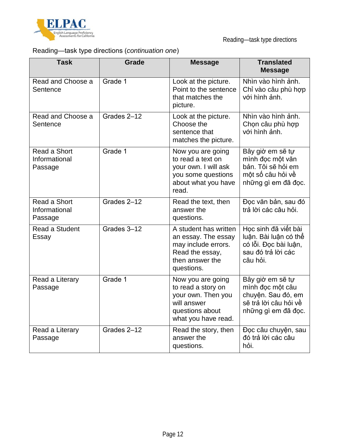

## Reading—task type directions (*continuation one*)

| <b>Task</b>                              | <b>Grade</b> | <b>Message</b>                                                                                                          | <b>Translated</b><br><b>Message</b>                                                                        |
|------------------------------------------|--------------|-------------------------------------------------------------------------------------------------------------------------|------------------------------------------------------------------------------------------------------------|
| Read and Choose a<br>Sentence            | Grade 1      | Look at the picture.<br>Point to the sentence<br>that matches the<br>picture.                                           | Nhìn vào hình ảnh.<br>Chỉ vào câu phù hợp<br>với hình ảnh.                                                 |
| Read and Choose a<br>Sentence            | Grades 2-12  | Look at the picture.<br>Choose the<br>sentence that<br>matches the picture.                                             | Nhìn vào hình ảnh.<br>Chọn câu phù hợp<br>với hình ảnh.                                                    |
| Read a Short<br>Informational<br>Passage | Grade 1      | Now you are going<br>to read a text on<br>your own. I will ask<br>you some questions<br>about what you have<br>read.    | Bây giờ em sẽ tự<br>mình đọc một văn<br>bản. Tôi sẽ hỏi em<br>một số câu hỏi về<br>những gì em đã đọc.     |
| Read a Short<br>Informational<br>Passage | Grades 2-12  | Read the text, then<br>answer the<br>questions.                                                                         | Đọc văn bản, sau đó<br>trả lời các câu hỏi.                                                                |
| Read a Student<br>Essay                  | Grades 3-12  | A student has written<br>an essay. The essay<br>may include errors.<br>Read the essay,<br>then answer the<br>questions. | Học sinh đã viết bài<br>luận. Bài luận có thể<br>có lỗi. Đọc bài luận,<br>sau đó trả lời các<br>câu hỏi.   |
| Read a Literary<br>Passage               | Grade 1      | Now you are going<br>to read a story on<br>your own. Then you<br>will answer<br>questions about<br>what you have read.  | Bây giờ em sẽ tự<br>mình đọc một câu<br>chuyện. Sau đó, em<br>sẽ trả lời câu hỏi về<br>những gì em đã đọc. |
| Read a Literary<br>Passage               | Grades 2-12  | Read the story, then<br>answer the<br>questions.                                                                        | Đọc câu chuyện, sau<br>đó trả lời các câu<br>hỏi.                                                          |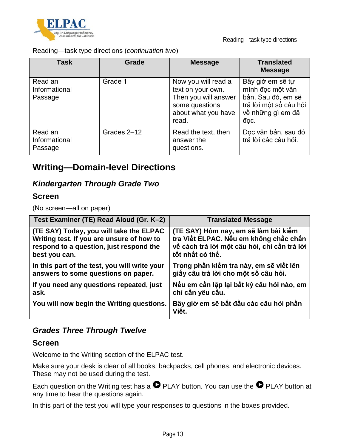

Reading—task type directions

Reading—task type directions (*continuation two*)

| <b>Task</b>                         | Grade       | <b>Message</b>                                                                                                     | <b>Translated</b><br><b>Message</b>                                                                               |
|-------------------------------------|-------------|--------------------------------------------------------------------------------------------------------------------|-------------------------------------------------------------------------------------------------------------------|
| Read an<br>Informational<br>Passage | Grade 1     | Now you will read a<br>text on your own.<br>Then you will answer<br>some questions<br>about what you have<br>read. | Bây giờ em sẽ tự<br>mình đọc một văn<br>bản. Sau đó, em sẽ<br>trả lời một số câu hỏi<br>về những gì em đã<br>doc. |
| Read an<br>Informational<br>Passage | Grades 2-12 | Read the text, then<br>answer the<br>questions.                                                                    | Đọc văn bản, sau đó<br>trả lời các câu hỏi.                                                                       |

## **Writing—Domain-level Directions**

### *Kindergarten Through Grade Two*

### **Screen**

(No screen—all on paper)

| Test Examiner (TE) Read Aloud (Gr. K-2)       | <b>Translated Message</b>                       |
|-----------------------------------------------|-------------------------------------------------|
| (TE SAY) Today, you will take the ELPAC       | (TE SAY) Hôm nay, em sẽ làm bài kiếm            |
| Writing test. If you are unsure of how to     | tra Viết ELPAC. Nếu em không chắc chắn          |
| respond to a question, just respond the       | về cách trả lời một câu hỏi, chỉ cần trả lời    |
| best you can.                                 | tốt nhất có thể.                                |
| In this part of the test, you will write your | Trong phần kiểm tra này, em sẽ viết lên         |
| answers to some questions on paper.           | giấy câu trả lời cho một số câu hỏi.            |
| If you need any questions repeated, just      | Nếu em cần lặp lại bất kỳ câu hỏi nào, em       |
| ask.                                          | chỉ cần yêu cầu.                                |
| You will now begin the Writing questions.     | Bây giờ em sẽ bắt đầu các câu hỏi phần<br>Việt. |

## *Grades Three Through Twelve*

### **Screen**

Welcome to the Writing section of the ELPAC test.

Make sure your desk is clear of all books, backpacks, cell phones, and electronic devices. These may not be used during the test.

Each question on the Writing test has a  $\bullet$  PLAY button. You can use the  $\bullet$  PLAY button at any time to hear the questions again.

In this part of the test you will type your responses to questions in the boxes provided.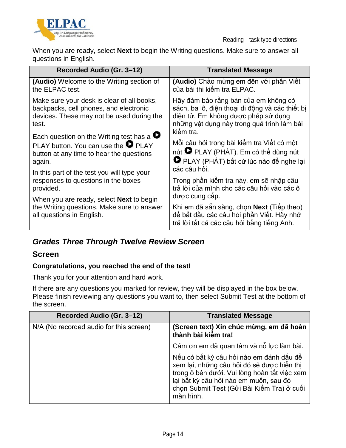

When you are ready, select **Next** to begin the Writing questions. Make sure to answer all questions in English.

| Recorded Audio (Gr. 3-12)                                                                                                                              | <b>Translated Message</b>                                                                                                                                                                 |
|--------------------------------------------------------------------------------------------------------------------------------------------------------|-------------------------------------------------------------------------------------------------------------------------------------------------------------------------------------------|
| (Audio) Welcome to the Writing section of<br>the ELPAC test.                                                                                           | (Audio) Chào mừng em đến với phần Viết<br>của bài thi kiểm tra ELPAC.                                                                                                                     |
| Make sure your desk is clear of all books,<br>backpacks, cell phones, and electronic<br>devices. These may not be used during the<br>test.             | Hãy đảm bảo rằng bàn của em không có<br>sách, ba lô, điện thoại di động và các thiết bị<br>điện tử. Em không được phép sử dụng<br>những vật dụng này trong quá trình làm bài<br>kiếm tra. |
| Each question on the Writing test has a $\bullet$<br>PLAY button. You can use the $\bullet$ PLAY<br>button at any time to hear the questions<br>again. | Mỗi câu hỏi trong bài kiểm tra Viết có một<br>nút <sup>D</sup> PLAY (PHÁT). Em có thể dùng nút<br>PLAY (PHÁT) bất cứ lúc nào để nghe lại<br>các câu hỏi.                                  |
| In this part of the test you will type your<br>responses to questions in the boxes<br>provided.<br>When you are ready, select <b>Next</b> to begin     | Trong phần kiểm tra này, em sẽ nhập câu<br>trả lời của mình cho các câu hỏi vào các ô<br>được cung câp.                                                                                   |
| the Writing questions. Make sure to answer<br>all questions in English.                                                                                | Khi em đã sẵn sàng, chọn Next (Tiếp theo)<br>để bắt đầu các câu hỏi phần Viết. Hãy nhớ<br>trả lời tất cả các câu hỏi bằng tiếng Anh.                                                      |

## *Grades Three Through Twelve Review Screen*

### **Screen**

### **Congratulations, you reached the end of the test!**

Thank you for your attention and hard work.

If there are any questions you marked for review, they will be displayed in the box below. Please finish reviewing any questions you want to, then select Submit Test at the bottom of the screen.

| Recorded Audio (Gr. 3-12)               | <b>Translated Message</b>                                                                                                                                                                                                                   |
|-----------------------------------------|---------------------------------------------------------------------------------------------------------------------------------------------------------------------------------------------------------------------------------------------|
| N/A (No recorded audio for this screen) | (Screen text) Xin chúc mừng, em đã hoàn<br>thành bài kiểm tra!                                                                                                                                                                              |
|                                         | Cảm ơn em đã quan tâm và nỗ lực làm bài.                                                                                                                                                                                                    |
|                                         | Nếu có bất kỳ câu hỏi nào em đánh dấu để<br>xem lại, những câu hỏi đó sẽ được hiển thị<br>trong ô bên dưới. Vui lòng hoàn tất việc xem<br>lại bất kỳ câu hỏi nào em muốn, sau đó<br>chọn Submit Test (Gửi Bài Kiểm Tra) ở cuối<br>màn hình. |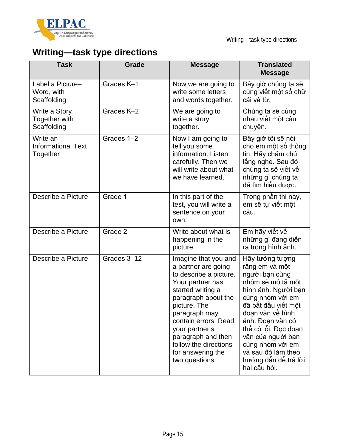

# **Writing—task type directions**

| <b>Task</b>                                       | Grade       | <b>Message</b>                                                                                                                                                                                                                                                                                         | <b>Translated</b><br><b>Message</b>                                                                                                                                                                                                                                                                               |
|---------------------------------------------------|-------------|--------------------------------------------------------------------------------------------------------------------------------------------------------------------------------------------------------------------------------------------------------------------------------------------------------|-------------------------------------------------------------------------------------------------------------------------------------------------------------------------------------------------------------------------------------------------------------------------------------------------------------------|
| Label a Picture-<br>Word, with<br>Scaffolding     | Grades K-1  | Now we are going to<br>write some letters<br>and words together.                                                                                                                                                                                                                                       | Bây giờ chúng ta sẽ<br>cùng viết một số chữ<br>cái và từ.                                                                                                                                                                                                                                                         |
| Write a Story<br>Together with<br>Scaffolding     | Grades K-2  | We are going to<br>write a story<br>together.                                                                                                                                                                                                                                                          | Chúng ta sẽ cùng<br>nhau viết một câu<br>chuyện.                                                                                                                                                                                                                                                                  |
| Write an<br><b>Informational Text</b><br>Together | Grades 1-2  | Now I am going to<br>tell you some<br>information. Listen<br>carefully. Then we<br>will write about what<br>we have learned.                                                                                                                                                                           | Bây giờ tôi sẽ nói<br>cho em một số thông<br>tin. Hãy chăm chú<br>lắng nghe. Sau đó<br>chúng ta sẽ viết về<br>những gì chúng ta<br>đã tìm hiểu được.                                                                                                                                                              |
| Describe a Picture                                | Grade 1     | In this part of the<br>test, you will write a<br>sentence on your<br>own.                                                                                                                                                                                                                              | Trong phần thi này,<br>em sẽ tư viết một<br>câu.                                                                                                                                                                                                                                                                  |
| Describe a Picture                                | Grade 2     | Write about what is<br>happening in the<br>picture.                                                                                                                                                                                                                                                    | Em hãy viết về<br>những gì đang diễn<br>ra trong hình ảnh.                                                                                                                                                                                                                                                        |
| Describe a Picture                                | Grades 3-12 | Imagine that you and<br>a partner are going<br>to describe a picture.<br>Your partner has<br>started writing a<br>paragraph about the<br>picture. The<br>paragraph may<br>contain errors. Read<br>your partner's<br>paragraph and then<br>follow the directions<br>for answering the<br>two questions. | Hãy tưởng tượng<br>rằng em và một<br>người bạn cùng<br>nhóm sẽ mô tả môt<br>hình ảnh. Người bạn<br>cùng nhóm với em<br>đã bắt đầu viết môt<br>đoạn văn về hình<br>ảnh. Đoan văn có<br>thể có lỗi. Đọc đoạn<br>văn của người bạn<br>cùng nhóm với em<br>và sau đó làm theo<br>hướng dẫn để trả lời<br>hai câu hỏi. |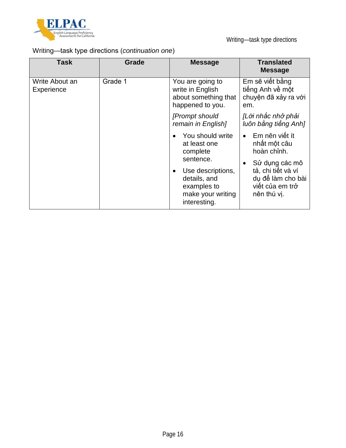

## Writing—task type directions (*continuation one*)

| Task                         | <b>Grade</b> | <b>Message</b>                                                                                                                                     | <b>Translated</b><br><b>Message</b>                                                                                                          |
|------------------------------|--------------|----------------------------------------------------------------------------------------------------------------------------------------------------|----------------------------------------------------------------------------------------------------------------------------------------------|
| Write About an<br>Experience | Grade 1      | You are going to<br>write in English<br>about something that<br>happened to you.                                                                   | Em sẽ viết bằng<br>tiếng Anh về một<br>chuyện đã xảy ra với<br>em.                                                                           |
|                              |              | [Prompt should<br>remain in English]                                                                                                               | [Lời nhắc nhở phải<br>luôn bằng tiếng Anh]                                                                                                   |
|                              |              | You should write<br>at least one<br>complete<br>sentence.<br>Use descriptions,<br>details, and<br>examples to<br>make your writing<br>interesting. | Em nên viết ít<br>nhất một câu<br>hoàn chỉnh.<br>Sử dụng các mô<br>tả, chi tiết và ví<br>du để làm cho bài<br>viết của em trở<br>nên thú vi. |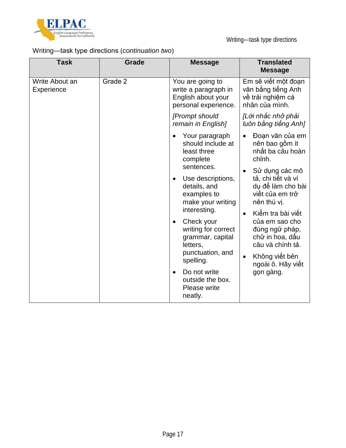

## Writing—task type directions (*continuation two*)

| <b>Task</b>                  | Grade                                                                                              | <b>Message</b>                                                                                                   | <b>Translated</b><br><b>Message</b>                                              |
|------------------------------|----------------------------------------------------------------------------------------------------|------------------------------------------------------------------------------------------------------------------|----------------------------------------------------------------------------------|
| Write About an<br>Experience | Grade 2                                                                                            | You are going to<br>write a paragraph in<br>English about your<br>personal experience.                           | Em sẽ viết một đoạn<br>văn bằng tiếng Anh<br>về trải nghiệm cá<br>nhân của mình. |
|                              |                                                                                                    | [Prompt should<br>remain in English]                                                                             | [Lời nhắc nhở phải<br>luôn bằng tiếng Anh]                                       |
|                              |                                                                                                    | Your paragraph<br>$\bullet$<br>should include at<br>least three<br>complete<br>sentences.                        | Đoạn văn của em<br>nên bao gồm ít<br>nhất ba câu hoàn<br>chỉnh.                  |
|                              | Use descriptions,<br>$\bullet$<br>details, and<br>examples to<br>make your writing<br>interesting. | Sử dụng các mô<br>tả, chi tiết và ví<br>dụ để làm cho bài<br>viết của em trở<br>nên thú vị.<br>Kiểm tra bài viết |                                                                                  |
|                              |                                                                                                    | Check your<br>$\bullet$<br>writing for correct<br>grammar, capital<br>letters,                                   | của em sao cho<br>đúng ngữ pháp,<br>chữ in hoa, dấu<br>câu và chính tả.          |
|                              |                                                                                                    | punctuation, and<br>spelling.                                                                                    | Không viết bên<br>ngoài ô. Hãy viết                                              |
|                              |                                                                                                    | Do not write<br>$\bullet$<br>outside the box.<br>Please write<br>neatly.                                         | gọn gàng.                                                                        |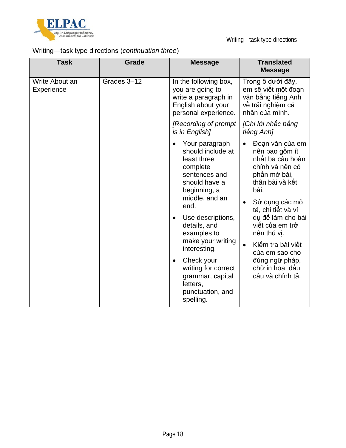

## Writing—task type directions (*continuation three*)

| <b>Task</b>                  | Grade       | <b>Message</b>                                                                                                                                                                                                                                                                                                                                                                   | <b>Translated</b><br><b>Message</b>                                                                                                                                                                                                                                                                                             |
|------------------------------|-------------|----------------------------------------------------------------------------------------------------------------------------------------------------------------------------------------------------------------------------------------------------------------------------------------------------------------------------------------------------------------------------------|---------------------------------------------------------------------------------------------------------------------------------------------------------------------------------------------------------------------------------------------------------------------------------------------------------------------------------|
| Write About an<br>Experience | Grades 3-12 | In the following box,<br>you are going to<br>write a paragraph in<br>English about your<br>personal experience.                                                                                                                                                                                                                                                                  | Trong ô dưới đây,<br>em sẽ viết một đoạn<br>văn bằng tiếng Anh<br>về trải nghiệm cá<br>nhân của mình.                                                                                                                                                                                                                           |
|                              |             | [Recording of prompt<br>is in English]                                                                                                                                                                                                                                                                                                                                           | [Ghi lời nhắc bằng<br>tiếng Anh]                                                                                                                                                                                                                                                                                                |
|                              |             | Your paragraph<br>$\bullet$<br>should include at<br>least three<br>complete<br>sentences and<br>should have a<br>beginning, a<br>middle, and an<br>end.<br>Use descriptions,<br>$\bullet$<br>details, and<br>examples to<br>make your writing<br>interesting.<br>Check your<br>$\bullet$<br>writing for correct<br>grammar, capital<br>letters,<br>punctuation, and<br>spelling. | Đoạn văn của em<br>nên bao gồm ít<br>nhất ba câu hoàn<br>chỉnh và nên có<br>phần mở bài,<br>thân bài và kết<br>bài.<br>Sử dụng các mô<br>$\bullet$<br>tả, chi tiết và ví<br>dụ để làm cho bài<br>viết của em trở<br>nên thú vi.<br>Kiểm tra bài viết<br>của em sao cho<br>đúng ngữ pháp,<br>chữ in hoa, dấu<br>câu và chính tả. |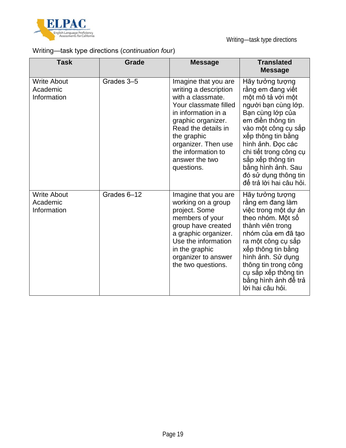

## Writing—task type directions (*continuation four*)

| <b>Task</b>                                   | Grade       | <b>Message</b>                                                                                                                                                                                                                                              | <b>Translated</b><br><b>Message</b>                                                                                                                                                                                                                                                                                 |
|-----------------------------------------------|-------------|-------------------------------------------------------------------------------------------------------------------------------------------------------------------------------------------------------------------------------------------------------------|---------------------------------------------------------------------------------------------------------------------------------------------------------------------------------------------------------------------------------------------------------------------------------------------------------------------|
| <b>Write About</b><br>Academic<br>Information | Grades 3-5  | Imagine that you are<br>writing a description<br>with a classmate.<br>Your classmate filled<br>in information in a<br>graphic organizer.<br>Read the details in<br>the graphic<br>organizer. Then use<br>the information to<br>answer the two<br>questions. | Hãy tưởng tượng<br>rằng em đang viết<br>một mô tả với một<br>người bạn cùng lớp.<br>Bạn cùng lớp của<br>em điền thông tin<br>vào một công cụ sắp<br>xếp thông tin bằng<br>hình ảnh. Đọc các<br>chi tiết trong công cụ<br>sắp xếp thông tin<br>bằng hình ảnh. Sau<br>đó sử dụng thông tin<br>để trả lời hai câu hỏi. |
| <b>Write About</b><br>Academic<br>Information | Grades 6-12 | Imagine that you are<br>working on a group<br>project. Some<br>members of your<br>group have created<br>a graphic organizer.<br>Use the information<br>in the graphic<br>organizer to answer<br>the two questions.                                          | Hãy tưởng tượng<br>rằng em đang làm<br>việc trong một dự án<br>theo nhóm. Một số<br>thành viên trong<br>nhóm của em đã tao<br>ra một công cụ sắp<br>xếp thông tin bằng<br>hình ảnh. Sử dụng<br>thông tin trong công<br>cụ sắp xếp thông tin<br>bằng hình ảnh đế trả<br>lời hai câu hỏi.                             |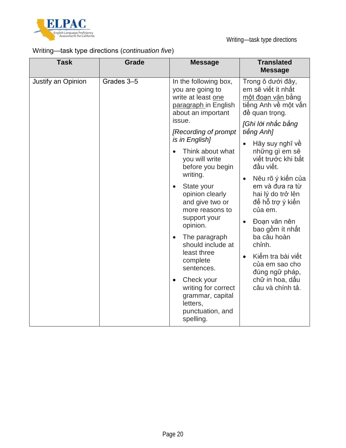

## Writing—task type directions (*continuation five*)

| <b>Task</b>        | Grade      | <b>Message</b>                                                                                                                                                                                                                                                                                                                                                                                                                                                                                                                                                         | <b>Translated</b><br><b>Message</b>                                                                                                                                                                                                                                                                                                                                                                                                                                               |
|--------------------|------------|------------------------------------------------------------------------------------------------------------------------------------------------------------------------------------------------------------------------------------------------------------------------------------------------------------------------------------------------------------------------------------------------------------------------------------------------------------------------------------------------------------------------------------------------------------------------|-----------------------------------------------------------------------------------------------------------------------------------------------------------------------------------------------------------------------------------------------------------------------------------------------------------------------------------------------------------------------------------------------------------------------------------------------------------------------------------|
| Justify an Opinion | Grades 3-5 | In the following box,<br>you are going to<br>write at least one<br>paragraph in English<br>about an important<br>issue.<br>[Recording of prompt<br>is in English]<br>Think about what<br>you will write<br>before you begin<br>writing.<br>State your<br>$\bullet$<br>opinion clearly<br>and give two or<br>more reasons to<br>support your<br>opinion.<br>The paragraph<br>$\bullet$<br>should include at<br>least three<br>complete<br>sentences.<br>Check your<br>$\bullet$<br>writing for correct<br>grammar, capital<br>letters,<br>punctuation, and<br>spelling. | Trong ô dưới đây,<br>em sẽ viết ít nhất<br><u>một đoạn văn bằng</u><br>tiếng Anh về một vấn<br>đề quan trọng.<br>[Ghi lời nhắc bằng<br>tiếng Anh]<br>Hãy suy nghĩ về<br>những gì em sẽ<br>viết trước khi bắt<br>đầu viết.<br>Nêu rõ ý kiến của<br>em và đưa ra từ<br>hai lý do trở lên<br>để hỗ trợ ý kiên<br>của em.<br>Đoạn văn nên<br>bao gồm ít nhất<br>ba câu hoàn<br>chỉnh.<br>Kiểm tra bài viết<br>của em sao cho<br>đúng ngữ pháp,<br>chữ in hoa, dấu<br>câu và chính tả. |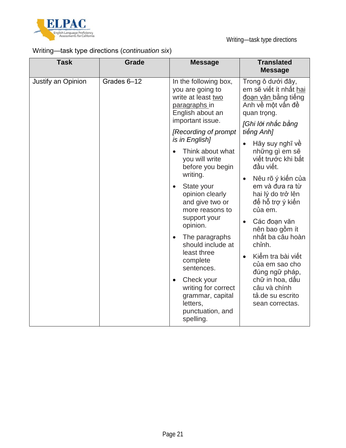

## Writing—task type directions (*continuation six*)

| <b>Task</b>        | Grade       | <b>Message</b>                                                                                                                                                                                                                                                                                                                                                                                                                                                                                                                                                                        | <b>Translated</b><br><b>Message</b>                                                                                                                                                                                                                                                                                                                                                                                                                                                                                                    |
|--------------------|-------------|---------------------------------------------------------------------------------------------------------------------------------------------------------------------------------------------------------------------------------------------------------------------------------------------------------------------------------------------------------------------------------------------------------------------------------------------------------------------------------------------------------------------------------------------------------------------------------------|----------------------------------------------------------------------------------------------------------------------------------------------------------------------------------------------------------------------------------------------------------------------------------------------------------------------------------------------------------------------------------------------------------------------------------------------------------------------------------------------------------------------------------------|
| Justify an Opinion | Grades 6-12 | In the following box,<br>you are going to<br>write at least two<br>paragraphs in<br>English about an<br>important issue.<br>[Recording of prompt<br>is in English]<br>Think about what<br>$\bullet$<br>you will write<br>before you begin<br>writing.<br>State your<br>$\bullet$<br>opinion clearly<br>and give two or<br>more reasons to<br>support your<br>opinion.<br>The paragraphs<br>$\bullet$<br>should include at<br>least three<br>complete<br>sentences.<br>Check your<br>$\bullet$<br>writing for correct<br>grammar, capital<br>letters,<br>punctuation, and<br>spelling. | Trong ô dưới đây,<br>em sẽ viết ít nhất hai<br><u>đoạn văn b</u> ằng tiếng<br>Anh về một vấn đề<br>quan trong.<br>[Ghi lời nhắc bằng<br>tiếng Anh]<br>Hãy suy nghĩ về<br>những gì em sẽ<br>viết trước khi bắt<br>đầu viết.<br>Nêu rõ ý kiến của<br>em và đưa ra từ<br>hai lý do trở lên<br>để hỗ trợ ý kiên<br>của em.<br>Các đoạn văn<br>nên bao gồm ít<br>nhất ba câu hoàn<br>chỉnh.<br>Kiểm tra bài viết<br>$\bullet$<br>của em sao cho<br>đúng ngữ pháp,<br>chữ in hoa, dấu<br>câu và chính<br>tá.de su escrito<br>sean correctas. |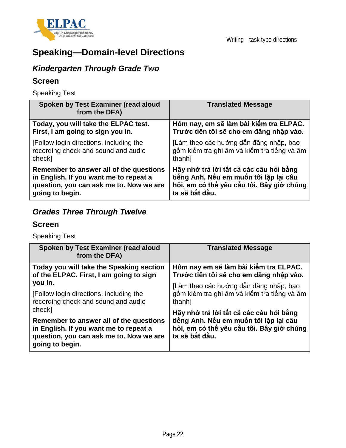

# **Speaking—Domain-level Directions**

## *Kindergarten Through Grade Two*

### **Screen**

Speaking Test

| Spoken by Test Examiner (read aloud<br>from the DFA) | <b>Translated Message</b>                   |
|------------------------------------------------------|---------------------------------------------|
| Today, you will take the ELPAC test.                 | Hôm nay, em sẽ làm bài kiểm tra ELPAC.      |
| First, I am going to sign you in.                    | Trước tiên tôi sẽ cho em đăng nhập vào.     |
| [Follow login directions, including the              | [Làm theo các hướng dẫn đăng nhập, bao      |
| recording check and sound and audio                  | gồm kiểm tra ghi âm và kiểm tra tiếng và âm |
| check]                                               | thanh]                                      |
| Remember to answer all of the questions              | Hãy nhớ trả lời tất cả các câu hỏi bằng     |
| in English. If you want me to repeat a               | tiếng Anh. Nếu em muốn tôi lặp lại câu      |
| question, you can ask me to. Now we are              | hỏi, em có thể yêu cầu tôi. Bây giờ chúng   |
| going to begin.                                      | ta sẽ bắt đầu.                              |

## *Grades Three Through Twelve*

### **Screen**

Speaking Test

| Spoken by Test Examiner (read aloud<br>from the DFA)                                                                                                      | <b>Translated Message</b>                                                                                                                        |  |
|-----------------------------------------------------------------------------------------------------------------------------------------------------------|--------------------------------------------------------------------------------------------------------------------------------------------------|--|
| Today you will take the Speaking section                                                                                                                  | Hôm nay em sẽ làm bài kiếm tra ELPAC.                                                                                                            |  |
| of the ELPAC. First, I am going to sign                                                                                                                   | Trước tiên tôi sẽ cho em đăng nhập vào.                                                                                                          |  |
| you in.                                                                                                                                                   | [Làm theo các hướng dẫn đăng nhập, bao                                                                                                           |  |
| [Follow login directions, including the                                                                                                                   | gồm kiểm tra ghi âm và kiểm tra tiếng và âm                                                                                                      |  |
| recording check and sound and audio                                                                                                                       | thanh]                                                                                                                                           |  |
| check]<br>Remember to answer all of the questions<br>in English. If you want me to repeat a<br>question, you can ask me to. Now we are<br>going to begin. | Hãy nhớ trả lời tất cả các câu hỏi bằng<br>tiếng Anh. Nếu em muốn tôi lặp lại câu<br>hỏi, em có thể yêu cầu tôi. Bây giờ chúng<br>ta sẽ bắt đầu. |  |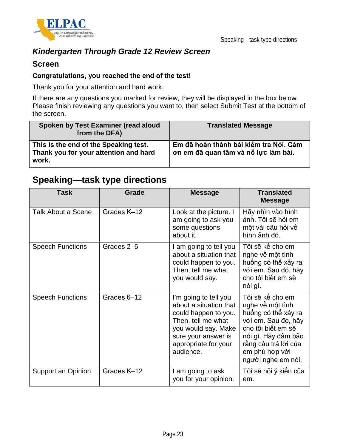

## *Kindergarten Through Grade 12 Review Screen*

### **Screen**

### **Congratulations, you reached the end of the test!**

Thank you for your attention and hard work.

If there are any questions you marked for review, they will be displayed in the box below. Please finish reviewing any questions you want to, then select Submit Test at the bottom of the screen.

| Spoken by Test Examiner (read aloud<br>from the DFA)                                    | <b>Translated Message</b>                                                      |
|-----------------------------------------------------------------------------------------|--------------------------------------------------------------------------------|
| This is the end of the Speaking test.<br>Thank you for your attention and hard<br>work. | Em đã hoàn thành bài kiểm tra Nói. Cảm<br>ơn em đã quan tâm và nỗ lực làm bài. |

## **Speaking—task type directions**

| <b>Task</b>               | Grade       | <b>Message</b>                                                                                                                                                                   | <b>Translated</b><br><b>Message</b>                                                                                                                                                             |
|---------------------------|-------------|----------------------------------------------------------------------------------------------------------------------------------------------------------------------------------|-------------------------------------------------------------------------------------------------------------------------------------------------------------------------------------------------|
| <b>Talk About a Scene</b> | Grades K-12 | Look at the picture. I<br>am going to ask you<br>some questions<br>about it.                                                                                                     | Hãy nhìn vào hình<br>ảnh. Tôi sẽ hỏi em<br>một vài câu hỏi về<br>hình ảnh đó.                                                                                                                   |
| <b>Speech Functions</b>   | Grades 2-5  | I am going to tell you<br>about a situation that<br>could happen to you.<br>Then, tell me what<br>you would say.                                                                 | Tôi sẽ kể cho em<br>nghe về một tình<br>huống có thể xảy ra<br>với em. Sau đó, hãy<br>cho tôi biết em sẽ<br>nói gì.                                                                             |
| <b>Speech Functions</b>   | Grades 6-12 | I'm going to tell you<br>about a situation that<br>could happen to you.<br>Then, tell me what<br>you would say. Make<br>sure your answer is<br>appropriate for your<br>audience. | Tôi sẽ kể cho em<br>nghe về một tình<br>huống có thể xảy ra<br>với em. Sau đó, hãy<br>cho tôi biết em sẽ<br>nói gì. Hãy đảm bảo<br>rằng câu trả lời của<br>em phù hợp với<br>người nghe em nói. |
| Support an Opinion        | Grades K-12 | I am going to ask<br>you for your opinion.                                                                                                                                       | Tôi sẽ hỏi ý kiến của<br>em.                                                                                                                                                                    |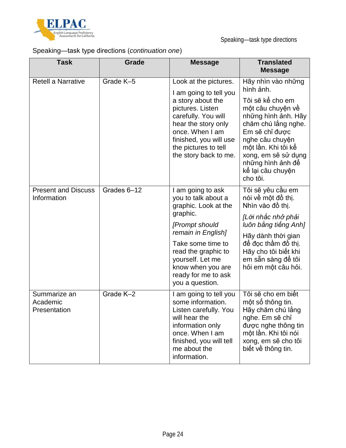

## Speaking—task type directions (*continuation one*)

| <b>Task</b>                               | Grade       | <b>Message</b>                                                                                                                                                                                                                                      | <b>Translated</b><br><b>Message</b>                                                                                                                                                                                                                             |
|-------------------------------------------|-------------|-----------------------------------------------------------------------------------------------------------------------------------------------------------------------------------------------------------------------------------------------------|-----------------------------------------------------------------------------------------------------------------------------------------------------------------------------------------------------------------------------------------------------------------|
| <b>Retell a Narrative</b>                 | Grade K-5   | Look at the pictures.<br>I am going to tell you<br>a story about the<br>pictures. Listen<br>carefully. You will<br>hear the story only<br>once. When I am<br>finished, you will use<br>the pictures to tell<br>the story back to me.                | Hãy nhìn vào những<br>hình ảnh.<br>Tôi sẽ kể cho em<br>một câu chuyện về<br>những hình ảnh. Hãy<br>chăm chú lắng nghe.<br>Em sẽ chỉ được<br>nghe câu chuyện<br>một lần. Khi tôi kế<br>xong, em sẽ sử dụng<br>những hình ảnh đế<br>kế lại câu chuyện<br>cho tôi. |
| <b>Present and Discuss</b><br>Information | Grades 6-12 | I am going to ask<br>you to talk about a<br>graphic. Look at the<br>graphic.<br>[Prompt should<br>remain in English]<br>Take some time to<br>read the graphic to<br>yourself. Let me<br>know when you are<br>ready for me to ask<br>you a question. | Tôi sẽ yêu cầu em<br>nói về một đồ thị.<br>Nhìn vào đồ thị.<br>[Lời nhắc nhở phải<br>luôn bằng tiếng Anh]<br>Hãy dành thời gian<br>để đọc thầm đồ thị.<br>Hãy cho tôi biết khi<br>em sẵn sàng đế tôi<br>hỏi em một câu hỏi.                                     |
| Summarize an<br>Academic<br>Presentation  | Grade K-2   | I am going to tell you<br>some information.<br>Listen carefully. You<br>will hear the<br>information only<br>once. When I am<br>finished, you will tell<br>me about the<br>information.                                                             | Tôi sẽ cho em biết<br>một số thông tin.<br>Hãy chăm chú lắng<br>nghe. Em sẽ chỉ<br>được nghe thông tin<br>một lần. Khi tôi nói<br>xong, em sẽ cho tôi<br>biết về thông tin.                                                                                     |